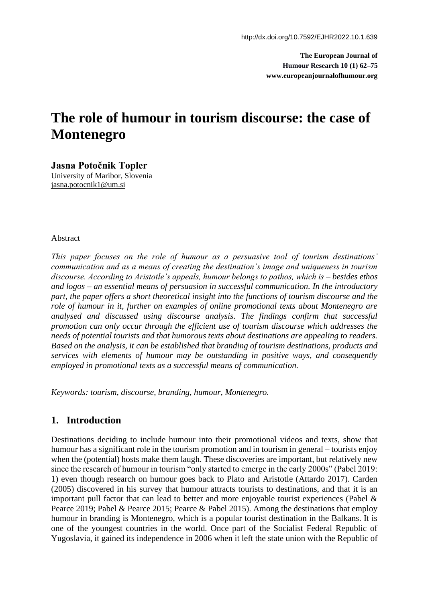**The European Journal of Humour Research 10 (1) 62–75 www.europeanjournalofhumour.org**

# **The role of humour in tourism discourse: the case of Montenegro**

**Jasna Potočnik Topler** University of Maribor, Slovenia [jasna.potocnik1@um.si](mailto:jasna.potocnik1@um.si)

#### Abstract

*This paper focuses on the role of humour as a persuasive tool of tourism destinations' communication and as a means of creating the destination's image and uniqueness in tourism discourse. According to Aristotle's appeals, humour belongs to pathos, which is – besides ethos and logos – an essential means of persuasion in successful communication. In the introductory part, the paper offers a short theoretical insight into the functions of tourism discourse and the role of humour in it, further on examples of online promotional texts about Montenegro are analysed and discussed using discourse analysis. The findings confirm that successful promotion can only occur through the efficient use of tourism discourse which addresses the needs of potential tourists and that humorous texts about destinations are appealing to readers. Based on the analysis, it can be established that branding of tourism destinations, products and services with elements of humour may be outstanding in positive ways, and consequently employed in promotional texts as a successful means of communication.*

*Keywords: tourism, discourse, branding, humour, Montenegro.*

## **1. Introduction**

Destinations deciding to include humour into their promotional videos and texts, show that humour has a significant role in the tourism promotion and in tourism in general – tourists enjoy when the (potential) hosts make them laugh. These discoveries are important, but relatively new since the research of humour in tourism "only started to emerge in the early 2000s" (Pabel 2019: 1) even though research on humour goes back to Plato and Aristotle (Attardo 2017). Carden (2005) discovered in his survey that humour attracts tourists to destinations, and that it is an important pull factor that can lead to better and more enjoyable tourist experiences (Pabel & Pearce 2019; Pabel & Pearce 2015; Pearce & Pabel 2015). Among the destinations that employ humour in branding is Montenegro, which is a popular tourist destination in the Balkans. It is one of the youngest countries in the world. Once part of the Socialist Federal Republic of Yugoslavia, it gained its independence in 2006 when it left the state union with the Republic of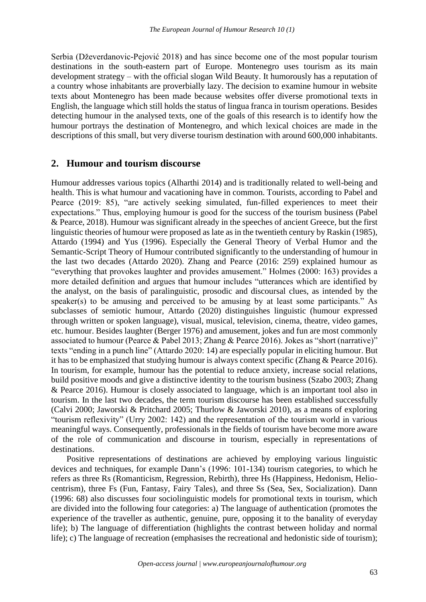Serbia (Dževerdanovic-Pejović 2018) and has since become one of the most popular tourism destinations in the south-eastern part of Europe. Montenegro uses tourism as its main development strategy – with the official slogan Wild Beauty. It humorously has a reputation of a country whose inhabitants are proverbially lazy. The decision to examine humour in website texts about Montenegro has been made because websites offer diverse promotional texts in English, the language which still holds the status of lingua franca in tourism operations. Besides detecting humour in the analysed texts, one of the goals of this research is to identify how the humour portrays the destination of Montenegro, and which lexical choices are made in the descriptions of this small, but very diverse tourism destination with around 600,000 inhabitants.

## **2. Humour and tourism discourse**

Humour addresses various topics (Alharthi 2014) and is traditionally related to well-being and health. This is what humour and vacationing have in common. Tourists, according to Pabel and Pearce (2019: 85), "are actively seeking simulated, fun-filled experiences to meet their expectations." Thus, employing humour is good for the success of the tourism business (Pabel & Pearce, 2018). Humour was significant already in the speeches of ancient Greece, but the first linguistic theories of humour were proposed as late as in the twentieth century by Raskin (1985), Attardo (1994) and Yus (1996). Especially the General Theory of Verbal Humor and the Semantic-Script Theory of Humour contributed significantly to the understanding of humour in the last two decades (Attardo 2020). Zhang and Pearce (2016: 259) explained humour as "everything that provokes laughter and provides amusement." Holmes (2000: 163) provides a more detailed definition and argues that humour includes "utterances which are identified by the analyst, on the basis of paralinguistic, prosodic and discoursal clues, as intended by the speaker(s) to be amusing and perceived to be amusing by at least some participants." As subclasses of semiotic humour, Attardo (2020) distinguishes linguistic (humour expressed through written or spoken language), visual, musical, television, cinema, theatre, video games, etc. humour. Besides laughter (Berger 1976) and amusement, jokes and fun are most commonly associated to humour (Pearce & Pabel 2013; Zhang & Pearce 2016). Jokes as "short (narrative)" texts "ending in a punch line" (Attardo 2020: 14) are especially popular in eliciting humour. But it has to be emphasized that studying humour is always context specific (Zhang & Pearce 2016). In tourism, for example, humour has the potential to reduce anxiety, increase social relations, build positive moods and give a distinctive identity to the tourism business (Szabo 2003; Zhang & Pearce 2016). Humour is closely associated to language, which is an important tool also in tourism. In the last two decades, the term tourism discourse has been established successfully (Calvi 2000; Jaworski & Pritchard 2005; Thurlow & Jaworski 2010), as a means of exploring "tourism reflexivity" (Urry 2002: 142) and the representation of the tourism world in various meaningful ways. Consequently, professionals in the fields of tourism have become more aware of the role of communication and discourse in tourism, especially in representations of destinations.

Positive representations of destinations are achieved by employing various linguistic devices and techniques, for example Dann's (1996: 101-134) tourism categories, to which he refers as three Rs (Romanticism, Regression, Rebirth), three Hs (Happiness, Hedonism, Heliocentrism), three Fs (Fun, Fantasy, Fairy Tales), and three Ss (Sea, Sex, Socialization). Dann (1996: 68) also discusses four sociolinguistic models for promotional texts in tourism, which are divided into the following four categories: a) The language of authentication (promotes the experience of the traveller as authentic, genuine, pure, opposing it to the banality of everyday life); b) The language of differentiation (highlights the contrast between holiday and normal life); c) The language of recreation (emphasises the recreational and hedonistic side of tourism);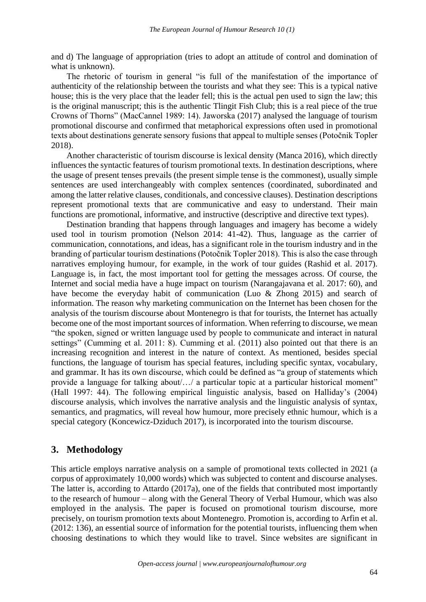and d) The language of appropriation (tries to adopt an attitude of control and domination of what is unknown).

The rhetoric of tourism in general "is full of the manifestation of the importance of authenticity of the relationship between the tourists and what they see: This is a typical native house; this is the very place that the leader fell; this is the actual pen used to sign the law; this is the original manuscript; this is the authentic Tlingit Fish Club; this is a real piece of the true Crowns of Thorns" (MacCannel 1989: 14). Jaworska (2017) analysed the language of tourism promotional discourse and confirmed that metaphorical expressions often used in promotional texts about destinations generate sensory fusions that appeal to multiple senses (Potočnik Topler 2018).

Another characteristic of tourism discourse is lexical density (Manca 2016), which directly influences the syntactic features of tourism promotional texts. In destination descriptions, where the usage of present tenses prevails (the present simple tense is the commonest), usually simple sentences are used interchangeably with complex sentences (coordinated, subordinated and among the latter relative clauses, conditionals, and concessive clauses). Destination descriptions represent promotional texts that are communicative and easy to understand. Their main functions are promotional, informative, and instructive (descriptive and directive text types).

Destination branding that happens through languages and imagery has become a widely used tool in tourism promotion (Nelson 2014: 41-42). Thus, language as the carrier of communication, connotations, and ideas, has a significant role in the tourism industry and in the branding of particular tourism destinations (Potočnik Topler 2018). This is also the case through narratives employing humour, for example, in the work of tour guides (Rashid et al. 2017). Language is, in fact, the most important tool for getting the messages across. Of course, the Internet and social media have a huge impact on tourism (Narangajavana et al. 2017: 60), and have become the everyday habit of communication (Luo & Zhong 2015) and search of information. The reason why marketing communication on the Internet has been chosen for the analysis of the tourism discourse about Montenegro is that for tourists, the Internet has actually become one of the most important sources of information. When referring to discourse, we mean "the spoken, signed or written language used by people to communicate and interact in natural settings" (Cumming et al. 2011: 8). Cumming et al. (2011) also pointed out that there is an increasing recognition and interest in the nature of context. As mentioned, besides special functions, the language of tourism has special features, including specific syntax, vocabulary, and grammar. It has its own discourse, which could be defined as "a group of statements which provide a language for talking about/…/ a particular topic at a particular historical moment" (Hall 1997: 44). The following empirical linguistic analysis, based on Halliday's (2004) discourse analysis, which involves the narrative analysis and the linguistic analysis of syntax, semantics, and pragmatics, will reveal how humour, more precisely ethnic humour, which is a special category (Koncewicz-Dziduch 2017), is incorporated into the tourism discourse.

## **3. Methodology**

This article employs narrative analysis on a sample of promotional texts collected in 2021 (a corpus of approximately 10,000 words) which was subjected to content and discourse analyses. The latter is, according to Attardo (2017a), one of the fields that contributed most importantly to the research of humour – along with the General Theory of Verbal Humour, which was also employed in the analysis. The paper is focused on promotional tourism discourse, more precisely, on tourism promotion texts about Montenegro. Promotion is, according to Arfin et al. (2012: 136), an essential source of information for the potential tourists, influencing them when choosing destinations to which they would like to travel. Since websites are significant in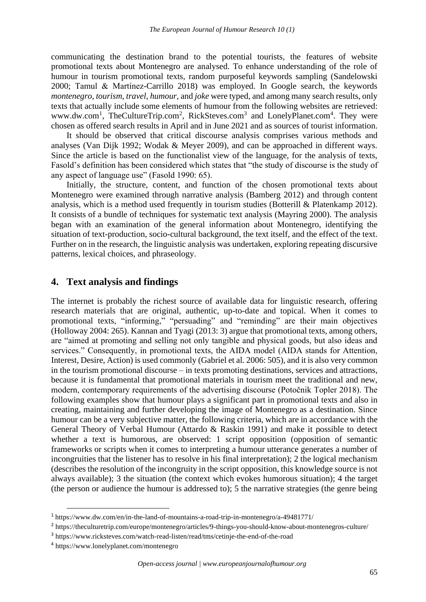communicating the destination brand to the potential tourists, the features of website promotional texts about Montenegro are analysed. To enhance understanding of the role of humour in tourism promotional texts, random purposeful keywords sampling (Sandelowski 2000; Tamul & Martínez-Carrillo 2018) was employed. In Google search, the keywords *montenegro*, *tourism*, *travel*, *humour*, and *joke* were typed, and among many search results, only texts that actually include some elements of humour from the following websites are retrieved: www.dw.com<sup>1</sup>, TheCultureTrip.com<sup>2</sup>, RickSteves.com<sup>3</sup> and LonelyPlanet.com<sup>4</sup>. They were chosen as offered search results in April and in June 2021 and as sources of tourist information.

It should be observed that critical discourse analysis comprises various methods and analyses (Van Dijk 1992; Wodak & Meyer 2009), and can be approached in different ways. Since the article is based on the functionalist view of the language, for the analysis of texts, Fasold's definition has been considered which states that "the study of discourse is the study of any aspect of language use" (Fasold 1990: 65).

Initially, the structure, content, and function of the chosen promotional texts about Montenegro were examined through narrative analysis (Bamberg 2012) and through content analysis, which is a method used frequently in tourism studies (Botterill & Platenkamp 2012). It consists of a bundle of techniques for systematic text analysis (Mayring 2000). The analysis began with an examination of the general information about Montenegro, identifying the situation of text-production, socio-cultural background, the text itself, and the effect of the text. Further on in the research, the linguistic analysis was undertaken, exploring repeating discursive patterns, lexical choices, and phraseology.

## **4. Text analysis and findings**

The internet is probably the richest source of available data for linguistic research, offering research materials that are original, authentic, up-to-date and topical. When it comes to promotional texts, "informing," "persuading" and "reminding" are their main objectives (Holloway 2004: 265). Kannan and Tyagi (2013: 3) argue that promotional texts, among others, are "aimed at promoting and selling not only tangible and physical goods, but also ideas and services." Consequently, in promotional texts, the AIDA model (AIDA stands for Attention, Interest, Desire, Action) is used commonly (Gabriel et al. 2006: 505), and it is also very common in the tourism promotional discourse – in texts promoting destinations, services and attractions, because it is fundamental that promotional materials in tourism meet the traditional and new, modern, contemporary requirements of the advertising discourse (Potočnik Topler 2018). The following examples show that humour plays a significant part in promotional texts and also in creating, maintaining and further developing the image of Montenegro as a destination. Since humour can be a very subjective matter, the following criteria, which are in accordance with the General Theory of Verbal Humour (Attardo & Raskin 1991) and make it possible to detect whether a text is humorous, are observed: 1 script opposition (opposition of semantic frameworks or scripts when it comes to interpreting a humour utterance generates a number of incongruities that the listener has to resolve in his final interpretation); 2 the logical mechanism (describes the resolution of the incongruity in the script opposition, this knowledge source is not always available); 3 the situation (the context which evokes humorous situation); 4 the target (the person or audience the humour is addressed to); 5 the narrative strategies (the genre being

<sup>&</sup>lt;sup>1</sup> <https://www.dw.com/en/in-the-land-of-mountains-a-road-trip-in-montenegro/a-49481771/>

<sup>&</sup>lt;sup>2</sup> <https://theculturetrip.com/europe/montenegro/articles/9-things-you-should-know-about-montenegros-culture/>

<sup>&</sup>lt;sup>3</sup> <https://www.ricksteves.com/watch-read-listen/read/tms/cetinje-the-end-of-the-road>

<sup>4</sup> <https://www.lonelyplanet.com/montenegro>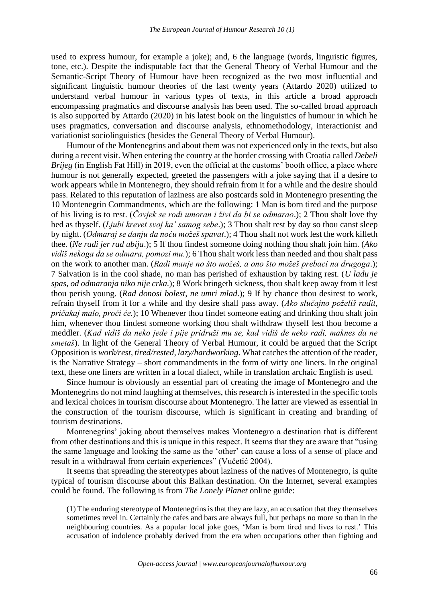used to express humour, for example a joke); and, 6 the language (words, linguistic figures, tone, etc.). Despite the indisputable fact that the General Theory of Verbal Humour and the Semantic-Script Theory of Humour have been recognized as the two most influential and significant linguistic humour theories of the last twenty years (Attardo 2020) utilized to understand verbal humour in various types of texts, in this article a broad approach encompassing pragmatics and discourse analysis has been used. The so-called broad approach is also supported by Attardo (2020) in his latest book on the linguistics of humour in which he uses pragmatics, conversation and discourse analysis, ethnomethodology, interactionist and variationist sociolinguistics (besides the General Theory of Verbal Humour).

Humour of the Montenegrins and about them was not experienced only in the texts, but also during a recent visit. When entering the country at the border crossing with Croatia called *Debeli Brijeg* (in English Fat Hill) in 2019, even the official at the customs' booth office, a place where humour is not generally expected, greeted the passengers with a joke saying that if a desire to work appears while in Montenegro, they should refrain from it for a while and the desire should pass. Related to this reputation of laziness are also postcards sold in Montenegro presenting the 10 Montenegrin Commandments, which are the following: 1 Man is born tired and the purpose of his living is to rest. (*Čovjek se rodi umoran i živi da bi se odmarao*.); 2 Thou shalt love thy bed as thyself. (*Ljubi krevet svoj ka' samog sebe*.); 3 Thou shalt rest by day so thou canst sleep by night. (*Odmaraj se danju da noću možeš spavat*.); 4 Thou shalt not work lest the work killeth thee. (*Ne radi jer rad ubija*.); 5 If thou findest someone doing nothing thou shalt join him. (*Ako vidiš nekoga da se odmara, pomozi mu.*); 6 Thou shalt work less than needed and thou shalt pass on the work to another man. (*Radi manje no što možeš, a ono što možeš prebaci na drugoga*.); 7 Salvation is in the cool shade, no man has perished of exhaustion by taking rest. (*U ladu je spas, od odmaranja niko nije crka.*); 8 Work bringeth sickness, thou shalt keep away from it lest thou perish young. (*Rad donosi bolest, ne umri mlad*.); 9 If by chance thou desirest to work, refrain thyself from it for a while and thy desire shall pass away. (*Ako slučajno poželiš radit, pričakaj malo, proći će.*); 10 Whenever thou findet someone eating and drinking thou shalt join him, whenever thou findest someone working thou shalt withdraw thyself lest thou become a meddler. (*Kad vidiš da neko jede i pije pridruži mu se, kad vidiš đe neko radi, maknes da ne smetaš*). In light of the General Theory of Verbal Humour, it could be argued that the Script Opposition is *work/rest, tired/rested, lazy/hardworking*. What catches the attention of the reader, is the Narrative Strategy – short commandments in the form of witty one liners. In the original text, these one liners are written in a local dialect, while in translation archaic English is used.

Since humour is obviously an essential part of creating the image of Montenegro and the Montenegrins do not mind laughing at themselves, this research is interested in the specific tools and lexical choices in tourism discourse about Montenegro. The latter are viewed as essential in the construction of the tourism discourse, which is significant in creating and branding of tourism destinations.

Montenegrins' joking about themselves makes Montenegro a destination that is different from other destinations and this is unique in this respect. It seems that they are aware that "using the same language and looking the same as the 'other' can cause a loss of a sense of place and result in a withdrawal from certain experiences" (Vučetić 2004).

It seems that spreading the stereotypes about laziness of the natives of Montenegro, is quite typical of tourism discourse about this Balkan destination. On the Internet, several examples could be found. The following is from *The Lonely Planet* online guide:

(1) The enduring stereotype of Montenegrins is that they are lazy, an accusation that they themselves sometimes revel in. Certainly the cafes and bars are always full, but perhaps no more so than in the neighbouring countries. As a popular local joke goes, 'Man is born tired and lives to rest.' This accusation of indolence probably derived from the era when occupations other than fighting and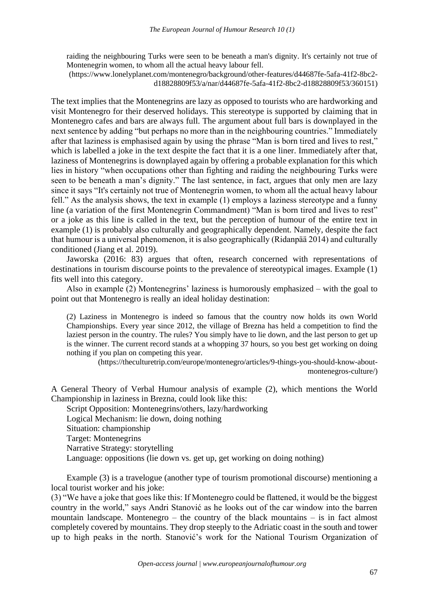raiding the neighbouring Turks were seen to be beneath a man's dignity. It's certainly not true of Montenegrin women, to whom all the actual heavy labour fell.

(https://www.lonelyplanet.com/montenegro/background/other-features/d44687fe-5afa-41f2-8bc2 d18828809f53/a/nar/d44687fe-5afa-41f2-8bc2-d18828809f53/360151)

The text implies that the Montenegrins are lazy as opposed to tourists who are hardworking and visit Montenegro for their deserved holidays. This stereotype is supported by claiming that in Montenegro cafes and bars are always full. The argument about full bars is downplayed in the next sentence by adding "but perhaps no more than in the neighbouring countries." Immediately after that laziness is emphasised again by using the phrase "Man is born tired and lives to rest," which is labelled a joke in the text despite the fact that it is a one liner. Immediately after that, laziness of Montenegrins is downplayed again by offering a probable explanation for this which lies in history "when occupations other than fighting and raiding the neighbouring Turks were seen to be beneath a man's dignity." The last sentence, in fact, argues that only men are lazy since it says "It's certainly not true of Montenegrin women, to whom all the actual heavy labour fell." As the analysis shows, the text in example (1) employs a laziness stereotype and a funny line (a variation of the first Montenegrin Commandment) "Man is born tired and lives to rest" or a joke as this line is called in the text, but the perception of humour of the entire text in example (1) is probably also culturally and geographically dependent. Namely, despite the fact that humour is a universal phenomenon, it is also geographically (Ridanpää 2014) and culturally conditioned (Jiang et al. 2019).

Jaworska (2016: 83) argues that often, research concerned with representations of destinations in tourism discourse points to the prevalence of stereotypical images. Example (1) fits well into this category.

Also in example (2) Montenegrins' laziness is humorously emphasized – with the goal to point out that Montenegro is really an ideal holiday destination:

(2) Laziness in Montenegro is indeed so famous that the country now holds its own World Championships. Every year since 2012, the village of Brezna has [held a competition](http://www.telegraf.rs/english/2895693-ivana-from-belgrade-has-set-a-record-in-laziness-competition-in-montenegro-she-couldnt-go-to-the-bathroom-she-was-lying-for-395-hours-photo) to find the laziest person in the country. The rules? You simply have to lie down, and the last person to get up is the winner. The current record stands at a whopping 37 hours, so you best get working on doing nothing if you plan on competing this year.

[\(https://theculturetrip.com/europe/montenegro/articles/9-things-you-should-know-about](https://theculturetrip.com/europe/montenegro/articles/9-things-you-should-know-about-montenegros-culture/)[montenegros-culture/\)](https://theculturetrip.com/europe/montenegro/articles/9-things-you-should-know-about-montenegros-culture/)

A General Theory of Verbal Humour analysis of example (2), which mentions the World Championship in laziness in Brezna, could look like this:

Script Opposition: Montenegrins/others, lazy/hardworking Logical Mechanism: lie down, doing nothing Situation: championship Target: Montenegrins Narrative Strategy: storytelling Language: oppositions (lie down vs. get up, get working on doing nothing)

Example (3) is a travelogue (another type of tourism promotional discourse) mentioning a local tourist worker and his joke:

(3) "We have a joke that goes like this: If Montenegro could be flattened, it would be the biggest country in the world," says Andri Stanović as he looks out of the car window into the barren mountain landscape. Montenegro – the country of the black mountains – is in fact almost completely covered by mountains. They drop steeply to the Adriatic coast in the south and tower up to high peaks in the north. Stanović's work for the National Tourism Organization of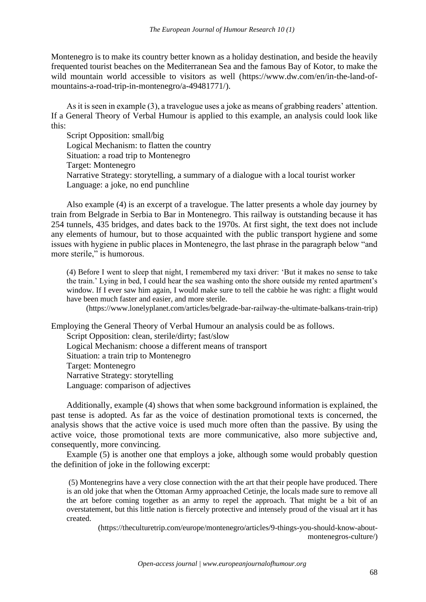Montenegro is to make its country better known as a holiday destination, and beside the heavily frequented tourist beaches on the Mediterranean Sea and the famous Bay of Kotor, to make the wild mountain world accessible to visitors as well [\(https://www.dw.com/en/in-the-land-of](https://www.dw.com/en/in-the-land-of-mountains-a-road-trip-in-montenegro/a-49481771/)[mountains-a-road-trip-in-montenegro/a-49481771/\)](https://www.dw.com/en/in-the-land-of-mountains-a-road-trip-in-montenegro/a-49481771/).

As it is seen in example (3), a travelogue uses a joke as means of grabbing readers' attention. If a General Theory of Verbal Humour is applied to this example, an analysis could look like this:

Script Opposition: small/big Logical Mechanism: to flatten the country Situation: a road trip to Montenegro Target: Montenegro Narrative Strategy: storytelling, a summary of a dialogue with a local tourist worker Language: a joke, no end punchline

Also example (4) is an excerpt of a travelogue. The latter presents a whole day journey by train from Belgrade in Serbia to Bar in Montenegro. This railway is outstanding because it has 254 tunnels, 435 bridges, and dates back to the 1970s. At first sight, the text does not include any elements of humour, but to those acquainted with the public transport hygiene and some issues with hygiene in public places in Montenegro, the last phrase in the paragraph below "and more sterile," is humorous.

(4) Before I went to sleep that night, I remembered my taxi driver: 'But it makes no sense to take the train.' Lying in bed, I could hear the sea washing onto the shore outside my rented apartment's window. If I ever saw him again, I would make sure to tell the cabbie he was right: a flight would have been much faster and easier, and more sterile.

(https://www.lonelyplanet.com/articles/belgrade-bar-railway-the-ultimate-balkans-train-trip)

Employing the General Theory of Verbal Humour an analysis could be as follows. Script Opposition: clean, sterile/dirty; fast/slow Logical Mechanism: choose a different means of transport Situation: a train trip to Montenegro Target: Montenegro Narrative Strategy: storytelling Language: comparison of adjectives

Additionally, example (4) shows that when some background information is explained, the past tense is adopted. As far as the voice of destination promotional texts is concerned, the analysis shows that the active voice is used much more often than the passive. By using the active voice, those promotional texts are more communicative, also more subjective and, consequently, more convincing.

Example (5) is another one that employs a joke, although some would probably question the definition of joke in the following excerpt:

(5) Montenegrins have a very close connection with the art that their people have produced. There is an old joke that when the Ottoman Army approached Cetinje, the locals made sure to remove all the art before coming together as an army to repel the approach. That might be a bit of an overstatement, but this little nation is fiercely protective and intensely proud of the visual art it has created.

(https://theculturetrip.com/europe/montenegro/articles/9-things-you-should-know-aboutmontenegros-culture/)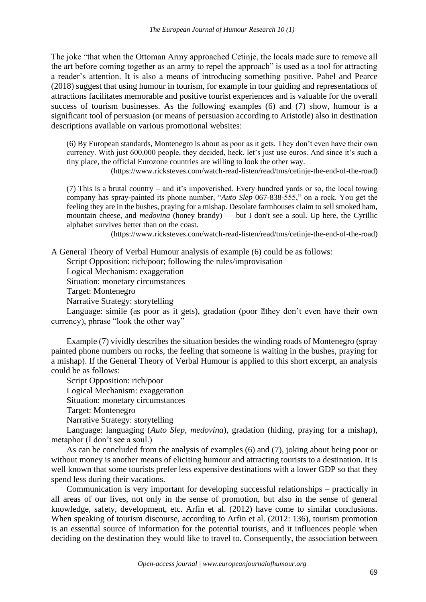The joke "that when the Ottoman Army approached Cetinje, the locals made sure to remove all the art before coming together as an army to repel the approach" is used as a tool for attracting a reader's attention. It is also a means of introducing something positive. Pabel and Pearce (2018) suggest that using humour in tourism, for example in tour guiding and representations of attractions facilitates memorable and positive tourist experiences and is valuable for the overall success of tourism businesses. As the following examples (6) and (7) show, humour is a significant tool of persuasion (or means of persuasion according to Aristotle) also in destination descriptions available on various promotional websites:

(6) By European standards, Montenegro is about as poor as it gets. They don't even have their own currency. With just 600,000 people, they decided, heck, let's just use euros. And since it's such a tiny place, the official Eurozone countries are willing to look the other way.

(https://www.ricksteves.com/watch-read-listen/read/tms/cetinje-the-end-of-the-road)

(7) This is a brutal country – and it's impoverished. Every hundred yards or so, the local towing company has spray-painted its phone number, "*Auto Slep* 067-838-555," on a rock. You get the feeling they are in the bushes, praying for a mishap. Desolate farmhouses claim to sell smoked ham, mountain cheese, and *medovina* (honey brandy) — but I don't see a soul. Up here, the Cyrillic alphabet survives better than on the coast.

[\(https://www.ricksteves.com/watch-read-listen/read/tms/cetinje-the-end-of-the-road\)](https://www.ricksteves.com/watch-read-listen/read/tms/cetinje-the-end-of-the-road)

A General Theory of Verbal Humour analysis of example (6) could be as follows:

Script Opposition: rich/poor; following the rules/improvisation

Logical Mechanism: exaggeration

Situation: monetary circumstances

Target: Montenegro

Narrative Strategy: storytelling

Language: simile (as poor as it gets), gradation (poor  $\mathbb{R}$ they don't even have their own currency), phrase "look the other way"

Example (7) vividly describes the situation besides the winding roads of Montenegro (spray painted phone numbers on rocks, the feeling that someone is waiting in the bushes, praying for a mishap). If the General Theory of Verbal Humour is applied to this short excerpt, an analysis could be as follows:

Script Opposition: rich/poor Logical Mechanism: exaggeration Situation: monetary circumstances Target: Montenegro Narrative Strategy: storytelling

Language: languaging (*Auto Slep*, *medovina*), gradation (hiding, praying for a mishap), metaphor (I don't see a soul.)

As can be concluded from the analysis of examples (6) and (7), joking about being poor or without money is another means of eliciting humour and attracting tourists to a destination. It is well known that some tourists prefer less expensive destinations with a lower GDP so that they spend less during their vacations.

Communication is very important for developing successful relationships – practically in all areas of our lives, not only in the sense of promotion, but also in the sense of general knowledge, safety, development, etc. Arfin et al. (2012) have come to similar conclusions. When speaking of tourism discourse, according to Arfin et al. (2012: 136), tourism promotion is an essential source of information for the potential tourists, and it influences people when deciding on the destination they would like to travel to. Consequently, the association between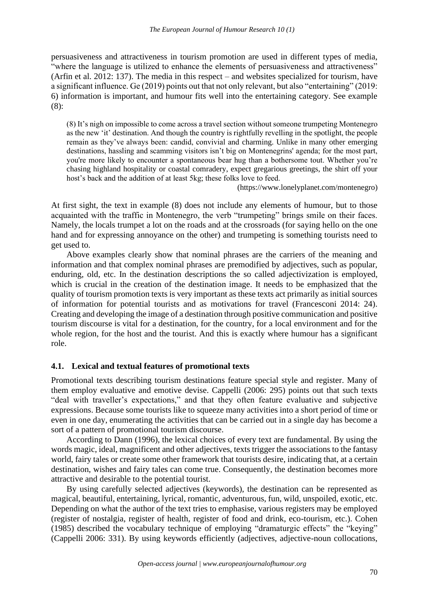persuasiveness and attractiveness in tourism promotion are used in different types of media, "where the language is utilized to enhance the elements of persuasiveness and attractiveness" (Arfin et al. 2012: 137). The media in this respect – and websites specialized for tourism, have a significant influence. Ge (2019) points out that not only relevant, but also "entertaining" (2019: 6) information is important, and humour fits well into the entertaining category. See example (8):

(8) It's nigh on impossible to come across a travel section without someone trumpeting Montenegro as the new 'it' destination. And though the country is rightfully revelling in the spotlight, the people remain as they've always been: candid, convivial and charming. Unlike in many other emerging destinations, hassling and scamming visitors isn't big on Montenegrins' agenda; for the most part, you're more likely to encounter a spontaneous bear hug than a bothersome tout. Whether you're chasing highland hospitality or coastal comradery, expect gregarious greetings, the shirt off your host's back and the addition of at least 5kg; these folks love to feed.

[\(https://www.lonelyplanet.com/montenegro\)](https://www.lonelyplanet.com/montenegro)

At first sight, the text in example (8) does not include any elements of humour, but to those acquainted with the traffic in Montenegro, the verb "trumpeting" brings smile on their faces. Namely, the locals trumpet a lot on the roads and at the crossroads (for saying hello on the one hand and for expressing annoyance on the other) and trumpeting is something tourists need to get used to.

Above examples clearly show that nominal phrases are the carriers of the meaning and information and that complex nominal phrases are premodified by adjectives, such as popular, enduring, old, etc. In the destination descriptions the so called adjectivization is employed, which is crucial in the creation of the destination image. It needs to be emphasized that the quality of tourism promotion texts is very important as these texts act primarily as initial sources of information for potential tourists and as motivations for travel (Francesconi 2014: 24). Creating and developing the image of a destination through positive communication and positive tourism discourse is vital for a destination, for the country, for a local environment and for the whole region, for the host and the tourist. And this is exactly where humour has a significant role.

## **4.1. Lexical and textual features of promotional texts**

Promotional texts describing tourism destinations feature special style and register. Many of them employ evaluative and emotive devise. Cappelli (2006: 295) points out that such texts "deal with traveller's expectations," and that they often feature evaluative and subjective expressions. Because some tourists like to squeeze many activities into a short period of time or even in one day, enumerating the activities that can be carried out in a single day has become a sort of a pattern of promotional tourism discourse.

According to Dann (1996), the lexical choices of every text are fundamental. By using the words magic, ideal, magnificent and other adjectives, texts trigger the associations to the fantasy world, fairy tales or create some other framework that tourists desire, indicating that, at a certain destination, wishes and fairy tales can come true. Consequently, the destination becomes more attractive and desirable to the potential tourist.

By using carefully selected adjectives (keywords), the destination can be represented as magical, beautiful, entertaining, lyrical, romantic, adventurous, fun, wild, unspoiled, exotic, etc. Depending on what the author of the text tries to emphasise, various registers may be employed (register of nostalgia, register of health, register of food and drink, eco-tourism, etc.). Cohen (1985) described the vocabulary technique of employing "dramaturgic effects" the "keying" (Cappelli 2006: 331). By using keywords efficiently (adjectives, adjective-noun collocations,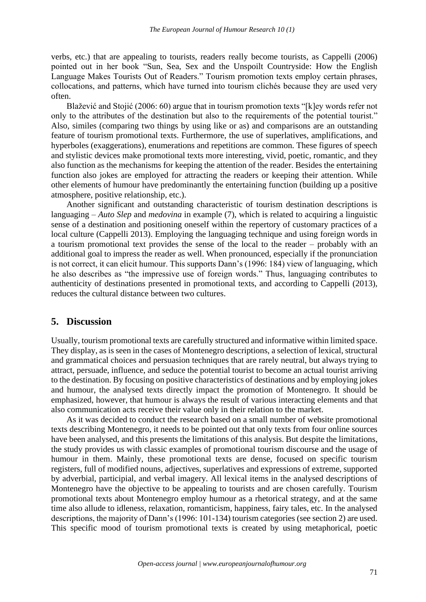verbs, etc.) that are appealing to tourists, readers really become tourists, as Cappelli (2006) pointed out in her book "Sun, Sea, Sex and the Unspoilt Countryside: How the English Language Makes Tourists Out of Readers." Tourism promotion texts employ certain phrases, collocations, and patterns, which have turned into tourism clichés because they are used very often.

Blažević and Stojić (2006: 60) argue that in tourism promotion texts "[k]ey words refer not only to the attributes of the destination but also to the requirements of the potential tourist." Also, similes (comparing two things by using like or as) and comparisons are an outstanding feature of tourism promotional texts. Furthermore, the use of superlatives, amplifications, and hyperboles (exaggerations), enumerations and repetitions are common. These figures of speech and stylistic devices make promotional texts more interesting, vivid, poetic, romantic, and they also function as the mechanisms for keeping the attention of the reader. Besides the entertaining function also jokes are employed for attracting the readers or keeping their attention. While other elements of humour have predominantly the entertaining function (building up a positive atmosphere, positive relationship, etc.).

Another significant and outstanding characteristic of tourism destination descriptions is languaging – *Auto Slep* and *medovina* in example (7), which is related to acquiring a linguistic sense of a destination and positioning oneself within the repertory of customary practices of a local culture (Cappelli 2013). Employing the languaging technique and using foreign words in a tourism promotional text provides the sense of the local to the reader – probably with an additional goal to impress the reader as well. When pronounced, especially if the pronunciation is not correct, it can elicit humour. This supports Dann's (1996: 184) view of languaging, which he also describes as "the impressive use of foreign words." Thus, languaging contributes to authenticity of destinations presented in promotional texts, and according to Cappelli (2013), reduces the cultural distance between two cultures.

## **5. Discussion**

Usually, tourism promotional texts are carefully structured and informative within limited space. They display, as is seen in the cases of Montenegro descriptions, a selection of lexical, structural and grammatical choices and persuasion techniques that are rarely neutral, but always trying to attract, persuade, influence, and seduce the potential tourist to become an actual tourist arriving to the destination. By focusing on positive characteristics of destinations and by employing jokes and humour, the analysed texts directly impact the promotion of Montenegro. It should be emphasized, however, that humour is always the result of various interacting elements and that also communication acts receive their value only in their relation to the market.

As it was decided to conduct the research based on a small number of website promotional texts describing Montenegro, it needs to be pointed out that only texts from four online sources have been analysed, and this presents the limitations of this analysis. But despite the limitations, the study provides us with classic examples of promotional tourism discourse and the usage of humour in them. Mainly, these promotional texts are dense, focused on specific tourism registers, full of modified nouns, adjectives, superlatives and expressions of extreme, supported by adverbial, participial, and verbal imagery. All lexical items in the analysed descriptions of Montenegro have the objective to be appealing to tourists and are chosen carefully. Tourism promotional texts about Montenegro employ humour as a rhetorical strategy, and at the same time also allude to idleness, relaxation, romanticism, happiness, fairy tales, etc. In the analysed descriptions, the majority of Dann's (1996: 101-134) tourism categories (see section 2) are used. This specific mood of tourism promotional texts is created by using metaphorical, poetic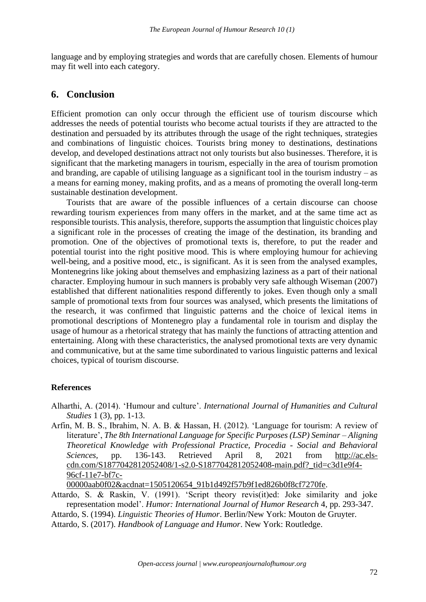language and by employing strategies and words that are carefully chosen. Elements of humour may fit well into each category.

## **6. Conclusion**

Efficient promotion can only occur through the efficient use of tourism discourse which addresses the needs of potential tourists who become actual tourists if they are attracted to the destination and persuaded by its attributes through the usage of the right techniques, strategies and combinations of linguistic choices. Tourists bring money to destinations, destinations develop, and developed destinations attract not only tourists but also businesses. Therefore, it is significant that the marketing managers in tourism, especially in the area of tourism promotion and branding, are capable of utilising language as a significant tool in the tourism industry – as a means for earning money, making profits, and as a means of promoting the overall long-term sustainable destination development.

Tourists that are aware of the possible influences of a certain discourse can choose rewarding tourism experiences from many offers in the market, and at the same time act as responsible tourists. This analysis, therefore, supports the assumption that linguistic choices play a significant role in the processes of creating the image of the destination, its branding and promotion. One of the objectives of promotional texts is, therefore, to put the reader and potential tourist into the right positive mood. This is where employing humour for achieving well-being, and a positive mood, etc., is significant. As it is seen from the analysed examples, Montenegrins like joking about themselves and emphasizing laziness as a part of their national character. Employing humour in such manners is probably very safe although Wiseman (2007) established that different nationalities respond differently to jokes. Even though only a small sample of promotional texts from four sources was analysed, which presents the limitations of the research, it was confirmed that linguistic patterns and the choice of lexical items in promotional descriptions of Montenegro play a fundamental role in tourism and display the usage of humour as a rhetorical strategy that has mainly the functions of attracting attention and entertaining. Along with these characteristics, the analysed promotional texts are very dynamic and communicative, but at the same time subordinated to various linguistic patterns and lexical choices, typical of tourism discourse.

#### **References**

Alharthi, A. (2014). 'Humour and culture'. *International Journal of Humanities and Cultural Studies* 1 (3), pp. 1-13.

Arfin, M. B. S., Ibrahim, N. A. B. & Hassan, H. (2012). 'Language for tourism: A review of literature', *The 8th International Language for Specific Purposes (LSP) Seminar – Aligning Theoretical Knowledge with Professional Practice, Procedia - Social and Behavioral Sciences,* pp. 136-143. Retrieved April 8, 2021 from [http://ac.els](http://ac.els-cdn.com/S1877042812052408/1-s2.0-S1877042812052408-main.pdf?_tid=c3d1e9f4-96cf-11e7-bf7c-00000aab0f02&acdnat=1505120654_91b1d492f57b9f1ed826b0f8cf7270fe)[cdn.com/S1877042812052408/1-s2.0-S1877042812052408-main.pdf?\\_tid=c3d1e9f4-](http://ac.els-cdn.com/S1877042812052408/1-s2.0-S1877042812052408-main.pdf?_tid=c3d1e9f4-96cf-11e7-bf7c-00000aab0f02&acdnat=1505120654_91b1d492f57b9f1ed826b0f8cf7270fe) [96cf-11e7-bf7c-](http://ac.els-cdn.com/S1877042812052408/1-s2.0-S1877042812052408-main.pdf?_tid=c3d1e9f4-96cf-11e7-bf7c-00000aab0f02&acdnat=1505120654_91b1d492f57b9f1ed826b0f8cf7270fe)

[00000aab0f02&acdnat=1505120654\\_91b1d492f57b9f1ed826b0f8cf7270fe.](http://ac.els-cdn.com/S1877042812052408/1-s2.0-S1877042812052408-main.pdf?_tid=c3d1e9f4-96cf-11e7-bf7c-00000aab0f02&acdnat=1505120654_91b1d492f57b9f1ed826b0f8cf7270fe)

Attardo, S. & Raskin, V. (1991). 'Script theory revis(it)ed: Joke similarity and joke representation model'. *Humor: International Journal of Humor Research* 4, pp. 293-347.

Attardo, S. (1994). *Linguistic Theories of Humor*. Berlin/New York: Mouton de Gruyter.

Attardo, S. (2017). *Handbook of Language and Humor*. New York: Routledge.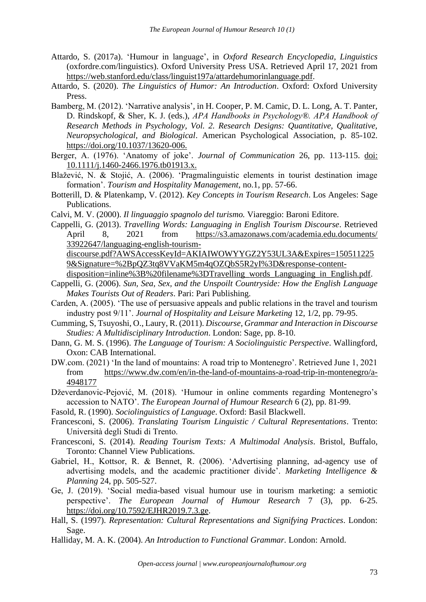- Attardo, S. (2017a). 'Humour in language', in *Oxford Research Encyclopedia, Linguistics*  (oxfordre.com/linguistics). Oxford University Press USA. Retrieved April 17, 2021 from https://web.stanford.edu/class/linguist197a/attardehumorinlanguage.pdf.
- Attardo, S. (2020). *The Linguistics of Humor: An Introduction*. Oxford: Oxford University Press.
- Bamberg, M. (2012). 'Narrative analysis'*,* in H. Cooper, P. M. Camic, D. L. Long, A. T. Panter, D. Rindskopf, & Sher, K. J. (eds.), *APA Handbooks in Psychology®. APA Handbook of Research Methods in Psychology, Vol. 2. Research Designs: Quantitative, Qualitative, Neuropsychological, and Biological*. American Psychological Association, p. 85-102. [https://doi.org/10.1037/13620-006.](https://psycnet.apa.org/doi/10.1037/13620-006)
- Berger, A. (1976). 'Anatomy of joke'. *Journal of Communication* 26, pp. 113-115. doi: 10.1111/j.1460-2466.1976.tb01913.x.
- Blažević, N. & Stojić, A. (2006). 'Pragmalinguistic elements in tourist destination image formation'. *Tourism and Hospitality Management*, no.1, pp. 57-66.
- Botterill, D. & Platenkamp, V. (2012). *Key Concepts in Tourism Research*. Los Angeles: Sage Publications.
- Calvi, M. V. (2000). *Il linguaggio spagnolo del turismo.* Viareggio: Baroni Editore.
- Cappelli, G. (2013). *Travelling Words: Languaging in English Tourism Discourse*. Retrieved April 8, 2021 from https://s3.amazonaws.com/academia.edu.documents/ [33922647/languaging-english-tourism-](https://s3.amazonaws.com/academia.edu.documents/%2033922647/languaging-english-tourism-discourse.pdf?AWSAccessKeyId=AKIAIWOWYYGZ2Y53UL3A&Expires=1505112259&Signature=%2BpQZ3tq8VVaKM5m4qOZQbS5R2yI%3D&response-content-disposition=inline%3B%20filename%3DTravelling_words_Languaging_in_English.pdf)

[discourse.pdf?AWSAccessKeyId=AKIAIWOWYYGZ2Y53UL3A&Expires=150511225](https://s3.amazonaws.com/academia.edu.documents/%2033922647/languaging-english-tourism-discourse.pdf?AWSAccessKeyId=AKIAIWOWYYGZ2Y53UL3A&Expires=1505112259&Signature=%2BpQZ3tq8VVaKM5m4qOZQbS5R2yI%3D&response-content-disposition=inline%3B%20filename%3DTravelling_words_Languaging_in_English.pdf) [9&Signature=%2BpQZ3tq8VVaKM5m4qOZQbS5R2yI%3D&response-content-](https://s3.amazonaws.com/academia.edu.documents/%2033922647/languaging-english-tourism-discourse.pdf?AWSAccessKeyId=AKIAIWOWYYGZ2Y53UL3A&Expires=1505112259&Signature=%2BpQZ3tq8VVaKM5m4qOZQbS5R2yI%3D&response-content-disposition=inline%3B%20filename%3DTravelling_words_Languaging_in_English.pdf)

[disposition=inline%3B%20filename%3DTravelling\\_words\\_Languaging\\_in\\_English.pdf.](https://s3.amazonaws.com/academia.edu.documents/%2033922647/languaging-english-tourism-discourse.pdf?AWSAccessKeyId=AKIAIWOWYYGZ2Y53UL3A&Expires=1505112259&Signature=%2BpQZ3tq8VVaKM5m4qOZQbS5R2yI%3D&response-content-disposition=inline%3B%20filename%3DTravelling_words_Languaging_in_English.pdf)

- Cappelli, G. (2006). *Sun, Sea, Sex, and the Unspoilt Countryside: How the English Language Makes Tourists Out of Readers*. Pari: Pari Publishing.
- Carden, A. (2005). 'The use of persuasive appeals and public relations in the travel and tourism industry post 9/11'. *Journal of Hospitality and Leisure Marketing* 12, 1/2, pp. 79-95.
- Cumming, S, Tsuyoshi, O., Laury, R. (2011). *Discourse, Grammar and Interaction in Discourse Studies: A Multidisciplinary Introduction*. London: Sage, pp. 8-10.
- Dann, G. M. S. (1996). *The Language of Tourism: A Sociolinguistic Perspective*. Wallingford, Oxon: CAB International.
- DW.com. (2021) 'In the land of mountains: A road trip to Montenegro'. Retrieved June 1, 2021 from [https://www.dw.com/en/in-the-land-of-mountains-a-road-trip-in-montenegro/a-](https://www.dw.com/en/in-the-land-of-mountains-a-road-trip-in-montenegro/a-49481771/)[4948177](https://www.dw.com/en/in-the-land-of-mountains-a-road-trip-in-montenegro/a-49481771/)
- Dževerdanovic-Pejović, M. (2018). 'Humour in online comments regarding Montenegro's accession to NATO'. *The European Journal of Humour Research* 6 (2), pp. 81-99.

Fasold, R. (1990). *Sociolinguistics of Language*. Oxford: Basil Blackwell.

- Francesconi, S. (2006). *Translating Tourism Linguistic / Cultural Representations*. Trento: Università degli Studi di Trento.
- Francesconi, S. (2014). *Reading Tourism Texts: A Multimodal Analysis*. Bristol, Buffalo, Toronto: Channel View Publications.
- Gabriel, H., Kottsor, R. & Bennet, R. (2006). 'Advertising planning, ad-agency use of advertising models, and the academic practitioner divide'. *Marketing Intelligence & Planning* 24, pp. 505-527.
- Ge, J. (2019). 'Social media-based visual humour use in tourism marketing: a semiotic perspective'. *The European Journal of Humour Research* 7 (3), pp. 6-25. [https://doi.org/10.7592/EJHR2019.7.3.ge.](https://doi.org/10.7592/EJHR2019.7.3.ge)
- Hall, S. (1997). *Representation: Cultural Representations and Signifying Practices*. London: Sage.
- Halliday, M. A. K. (2004). *An Introduction to Functional Grammar.* London: Arnold.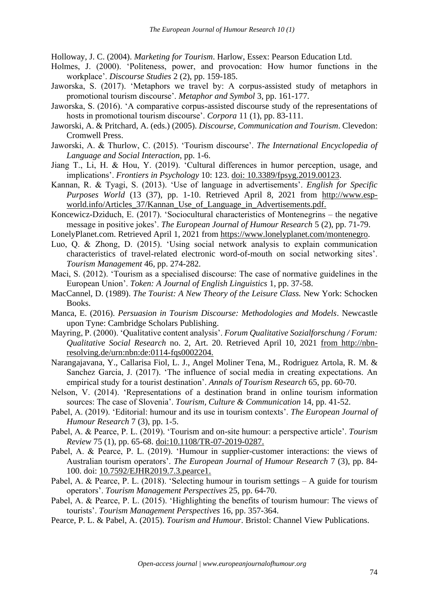Holloway, J. C. (2004). *Marketing for Tourism*. Harlow, Essex: Pearson Education Ltd.

- Holmes, J. (2000). 'Politeness, power, and provocation: How humor functions in the workplace'. *Discourse Studies* 2 (2), pp. 159-185.
- Jaworska, S. (2017). 'Metaphors we travel by: A corpus-assisted study of metaphors in promotional tourism discourse'. *Metaphor and Symbol* 3, pp. 161-177.
- Jaworska, S. (2016). 'A comparative corpus-assisted discourse study of the representations of hosts in promotional tourism discourse'. *Corpora* 11 (1), pp. 83-111.
- Jaworski, A. & Pritchard, A. (eds.) (2005). *Discourse, Communication and Tourism*. Clevedon: Cromwell Press.
- Jaworski, A. & Thurlow, C. (2015). 'Tourism discourse'. *The International Encyclopedia of Language and Social Interaction*, pp. 1-6.
- Jiang T., Li, H. & Hou, Y. (2019). 'Cultural differences in humor perception, usage, and implications'. *Frontiers in Psychology* 10: 123. doi: 10.3389/fpsyg.2019.00123.
- Kannan, R. & Tyagi, S. (2013). 'Use of language in advertisements'. *English for Specific Purposes World* (13 (37), pp. 1-10. Retrieved April 8, 2021 from [http://www.esp](http://www.esp-world.info/Articles_37/Kannan_Use_of_Language_in_Advertisements.pdf)[world.info/Articles\\_37/Kannan\\_Use\\_of\\_Language\\_in\\_Advertisements.pdf.](http://www.esp-world.info/Articles_37/Kannan_Use_of_Language_in_Advertisements.pdf)

Koncewicz-Dziduch, E. (2017). 'Sociocultural characteristics of Montenegrins – the negative message in positive jokes'. *The European Journal of Humour Research* 5 (2), pp. 71-79.

LonelyPlanet.com. Retrieved April 1, 2021 from https://www.lonelyplanet.com/montenegro.

- Luo, Q. & Zhong, D. (2015). 'Using social network analysis to explain communication characteristics of travel-related electronic word-of-mouth on social networking sites'. *Tourism Management* 46*,* pp. 274-282.
- Maci, S. (2012). 'Tourism as a specialised discourse: The case of normative guidelines in the European Union'. *Token: A Journal of English Linguistics* 1, pp. 37-58.
- MacCannel, D. (1989). *The Tourist: A New Theory of the Leisure Class.* New York: Schocken Books.
- Manca, E. (2016). *Persuasion in Tourism Discourse: Methodologies and Models*. Newcastle upon Tyne: Cambridge Scholars Publishing.
- Mayring, P. (2000). 'Qualitative content analysis'. *Forum Qualitative Sozialforschung / Forum: Qualitative Social Research* no. 2, Art. 20. Retrieved April 10, 2021 from [http://nbn](http://nbn-resolving.de/urn:nbn:de:0114-fqs0002204)[resolving.de/urn:nbn:de:0114-fqs0002204.](http://nbn-resolving.de/urn:nbn:de:0114-fqs0002204)
- Narangajavana, Y., Callarisa Fiol, L. J., Angel Moliner Tena, M., Rodriguez Artola, R. M. & Sanchez Garcia, J. (2017). 'The influence of social media in creating expectations. An empirical study for a tourist destination'. *Annals of Tourism Research* 65, pp. 60-70.
- Nelson, V. (2014). 'Representations of a destination brand in online tourism information sources: The case of Slovenia'. *Tourism, Culture & Communication* 14, pp. 41-52.
- Pabel, A. (2019). 'Editorial: humour and its use in tourism contexts'. *The European Journal of Humour Research* 7 (3), pp. 1-5.
- Pabel, A. & Pearce, P. L. (2019). 'Tourism and on-site humour: a perspective article'. *Tourism Review* 75 (1), pp. 65-68. doi[:10.1108/TR-07-2019-0287.](https://doi.org/10.1108/TR-07-2019-0287)
- Pabel, A. & Pearce, P. L. (2019). 'Humour in supplier-customer interactions: the views of Australian tourism operators'. *The European Journal of Humour Research* 7 (3), pp. 84- 100. doi: [10.7592/EJHR2019.7.3.pearce1.](https://doi.org/10.7592/EJHR2019.7.3.pearce1)
- Pabel, A. & Pearce, P. L. (2018). 'Selecting humour in tourism settings A guide for tourism operators'. *Tourism Management Perspective*s 25, pp. 64-70.
- Pabel, A. & Pearce, P. L. (2015). 'Highlighting the benefits of tourism humour: The views of tourists'. *Tourism Management Perspectives* 16, pp. 357-364.
- Pearce, P. L. & Pabel, A. (2015). *Tourism and Humour*. Bristol: Channel View Publications.